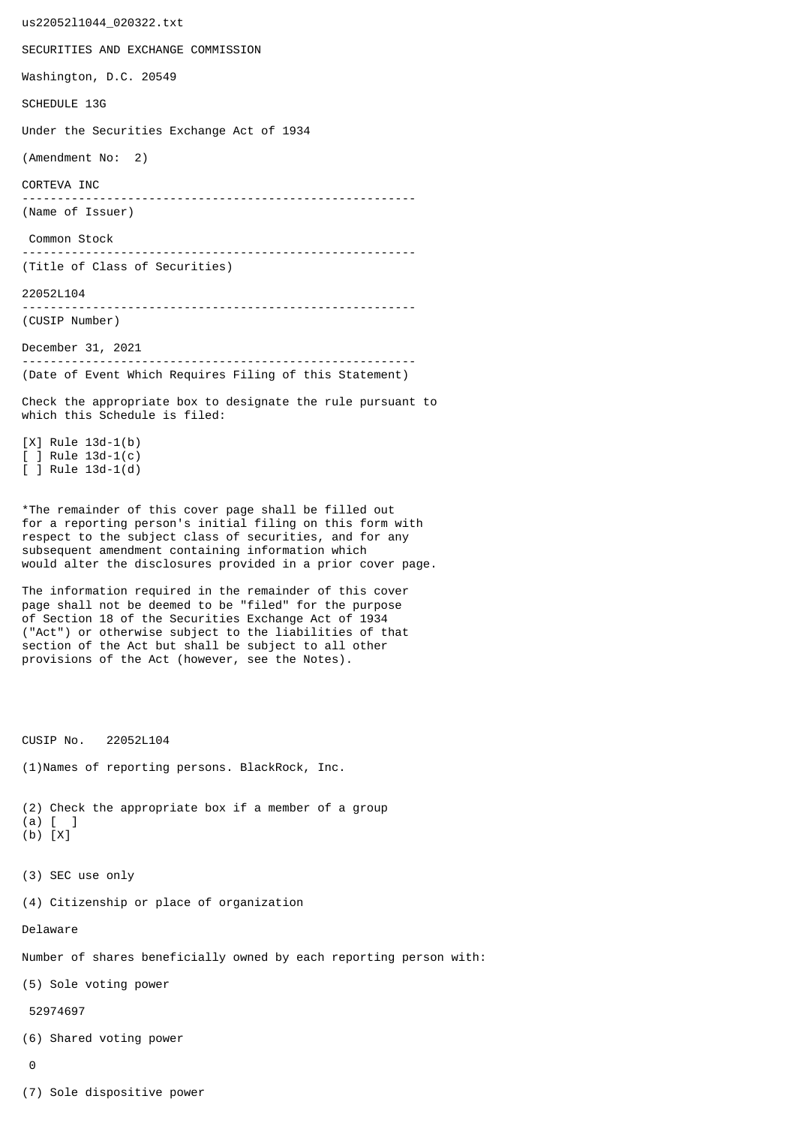us22052l1044\_020322.txt SECURITIES AND EXCHANGE COMMISSION Washington, D.C. 20549 SCHEDULE 13G Under the Securities Exchange Act of 1934 (Amendment No: 2) CORTEVA INC -------------------------------------------------------- (Name of Issuer) Common Stock -------------------------------------------------------- (Title of Class of Securities) 22052L104 -------------------------------------------------------- (CUSIP Number) December 31, 2021 -------------------------------------------------------- (Date of Event Which Requires Filing of this Statement) Check the appropriate box to designate the rule pursuant to which this Schedule is filed: [X] Rule 13d-1(b) [ ] Rule 13d-1(c) [ ] Rule 13d-1(d) \*The remainder of this cover page shall be filled out for a reporting person's initial filing on this form with respect to the subject class of securities, and for any subsequent amendment containing information which would alter the disclosures provided in a prior cover page. The information required in the remainder of this cover page shall not be deemed to be "filed" for the purpose of Section 18 of the Securities Exchange Act of 1934 ("Act") or otherwise subject to the liabilities of that section of the Act but shall be subject to all other provisions of the Act (however, see the Notes). CUSIP No. 22052L104 (1)Names of reporting persons. BlackRock, Inc. (2) Check the appropriate box if a member of a group (a) [ ] (b) [X] (3) SEC use only (4) Citizenship or place of organization Delaware Number of shares beneficially owned by each reporting person with: (5) Sole voting power 52974697 (6) Shared voting power  $\Omega$ 

(7) Sole dispositive power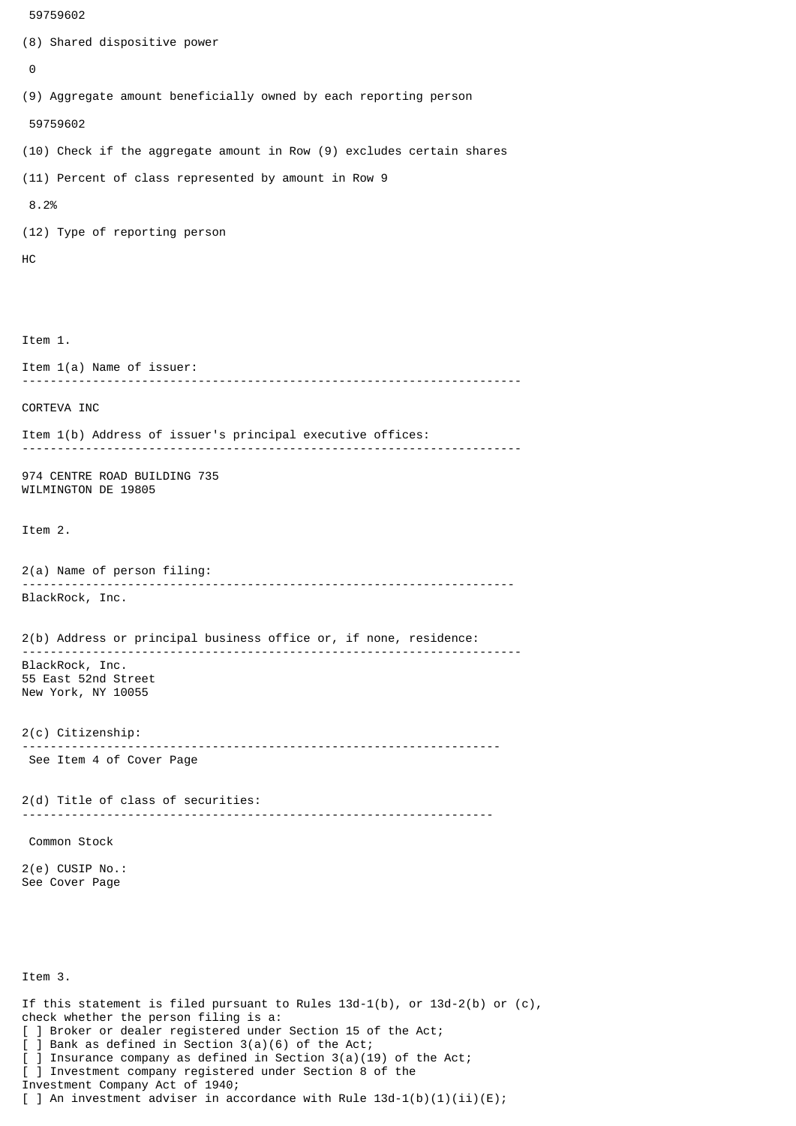```
 59759602
(8) Shared dispositive power
 \boldsymbol{\Theta}(9) Aggregate amount beneficially owned by each reporting person
  59759602
(10) Check if the aggregate amount in Row (9) excludes certain shares
(11) Percent of class represented by amount in Row 9
 8.2%
(12) Type of reporting person
HC
Item 1.
Item 1(a) Name of issuer:
            -----------------------------------------------------------------------
CORTEVA INC
Item 1(b) Address of issuer's principal executive offices:
          -----------------------------------------------------------------------
974 CENTRE ROAD BUILDING 735
WILMINGTON DE 19805
Item 2.
2(a) Name of person filing:
               ----------------------------------------------------------------------
BlackRock, Inc.
2(b) Address or principal business office or, if none, residence:
 -----------------------------------------------------------------------
BlackRock, Inc.
55 East 52nd Street
New York, NY 10055
2(c) Citizenship:
                             --------------------------------------------------------------------
 See Item 4 of Cover Page
2(d) Title of class of securities:
                                       -------------------------------------------------------------------
 Common Stock
2(e) CUSIP No.:
See Cover Page
Item 3.
If this statement is filed pursuant to Rules 13d-1(b), or 13d-2(b) or (c),
check whether the person filing is a:
[ ] Broker or dealer registered under Section 15 of the Act;
```
<sup>[ ]</sup> Bank as defined in Section 3(a)(6) of the Act;

<sup>]</sup> Insurance company as defined in Section  $3(a)(19)$  of the Act;

<sup>[ ]</sup> Investment company registered under Section 8 of the

Investment Company Act of 1940;

<sup>[ ]</sup> An investment adviser in accordance with Rule  $13d-1(b)(1)(ii)(E)$ ;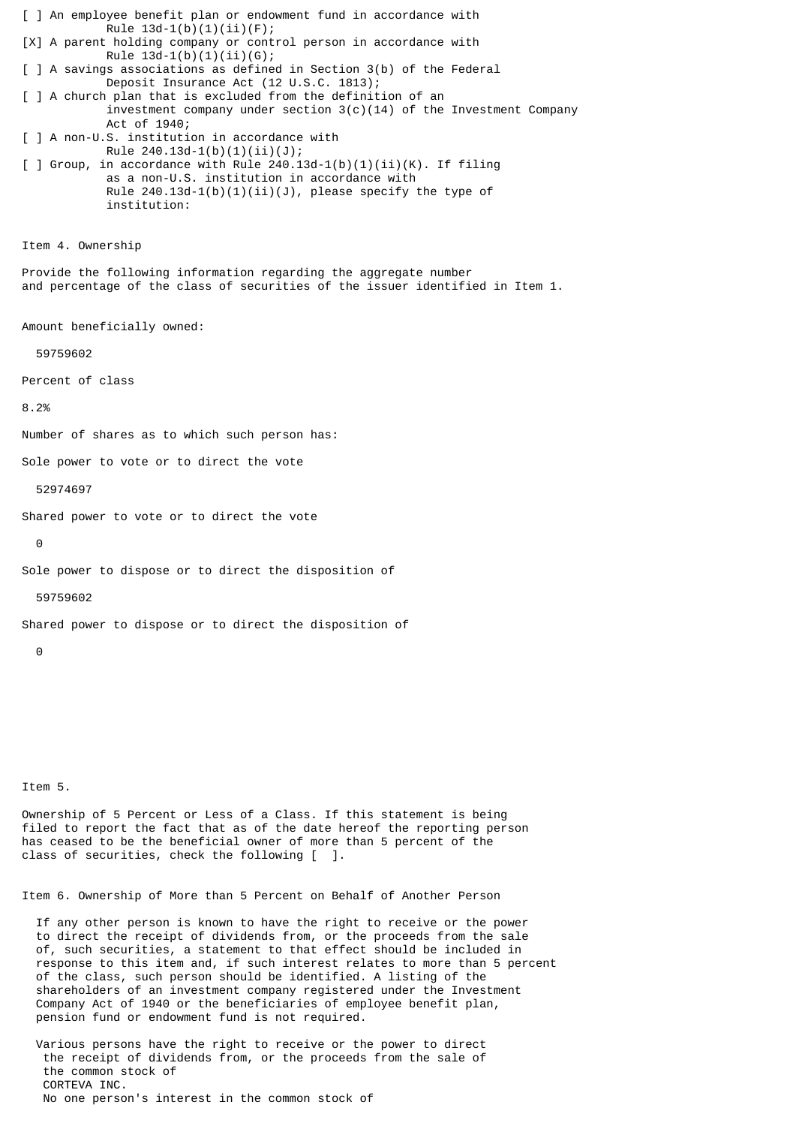[ ] An employee benefit plan or endowment fund in accordance with Rule  $13d-1(b)(1)(ii)(F);$ [X] A parent holding company or control person in accordance with Rule  $13d-1(b)(1)(ii)(G);$ [ ] A savings associations as defined in Section 3(b) of the Federal Deposit Insurance Act (12 U.S.C. 1813); [ ] A church plan that is excluded from the definition of an investment company under section  $3(c)(14)$  of the Investment Company Act of 1940; [ ] A non-U.S. institution in accordance with Rule 240.13d-1(b)(1)(ii)(J);  $\lceil$  ] Group, in accordance with Rule 240.13d-1(b)(1)(ii)(K). If filing as a non-U.S. institution in accordance with Rule  $240.13d-1(b)(1)(ii)(J)$ , please specify the type of institution: Item 4. Ownership Provide the following information regarding the aggregate number and percentage of the class of securities of the issuer identified in Item 1. Amount beneficially owned: 59759602 Percent of class 8.2% Number of shares as to which such person has: Sole power to vote or to direct the vote 52974697 Shared power to vote or to direct the vote  $\Theta$ Sole power to dispose or to direct the disposition of 59759602 Shared power to dispose or to direct the disposition of  $\Omega$ 

Item 5.

Ownership of 5 Percent or Less of a Class. If this statement is being filed to report the fact that as of the date hereof the reporting person has ceased to be the beneficial owner of more than 5 percent of the class of securities, check the following [ ].

Item 6. Ownership of More than 5 Percent on Behalf of Another Person

 If any other person is known to have the right to receive or the power to direct the receipt of dividends from, or the proceeds from the sale of, such securities, a statement to that effect should be included in response to this item and, if such interest relates to more than 5 percent of the class, such person should be identified. A listing of the shareholders of an investment company registered under the Investment Company Act of 1940 or the beneficiaries of employee benefit plan, pension fund or endowment fund is not required.

 Various persons have the right to receive or the power to direct the receipt of dividends from, or the proceeds from the sale of the common stock of CORTEVA INC. No one person's interest in the common stock of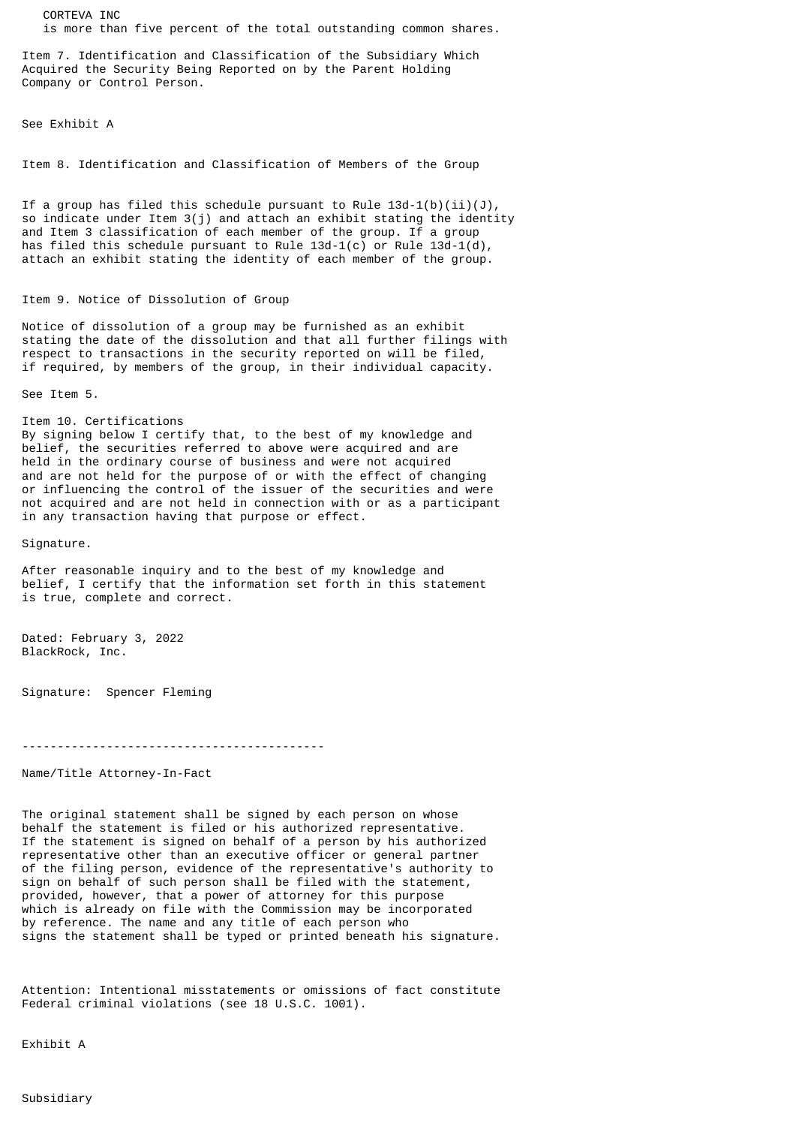CORTEVA INC is more than five percent of the total outstanding common shares.

Item 7. Identification and Classification of the Subsidiary Which Acquired the Security Being Reported on by the Parent Holding Company or Control Person.

See Exhibit A

Item 8. Identification and Classification of Members of the Group

If a group has filed this schedule pursuant to Rule  $13d-1(b)(ii)(J)$ , so indicate under Item 3(j) and attach an exhibit stating the identity and Item 3 classification of each member of the group. If a group has filed this schedule pursuant to Rule  $13d-1(c)$  or Rule  $13d-1(d)$ , attach an exhibit stating the identity of each member of the group.

## Item 9. Notice of Dissolution of Group

Notice of dissolution of a group may be furnished as an exhibit stating the date of the dissolution and that all further filings with respect to transactions in the security reported on will be filed, if required, by members of the group, in their individual capacity.

See Item 5.

Item 10. Certifications By signing below I certify that, to the best of my knowledge and belief, the securities referred to above were acquired and are held in the ordinary course of business and were not acquired and are not held for the purpose of or with the effect of changing or influencing the control of the issuer of the securities and were not acquired and are not held in connection with or as a participant in any transaction having that purpose or effect.

Signature.

After reasonable inquiry and to the best of my knowledge and belief, I certify that the information set forth in this statement is true, complete and correct.

Dated: February 3, 2022 BlackRock, Inc.

Signature: Spencer Fleming

-------------------------------------------

Name/Title Attorney-In-Fact

The original statement shall be signed by each person on whose behalf the statement is filed or his authorized representative. If the statement is signed on behalf of a person by his authorized representative other than an executive officer or general partner of the filing person, evidence of the representative's authority to sign on behalf of such person shall be filed with the statement, provided, however, that a power of attorney for this purpose which is already on file with the Commission may be incorporated by reference. The name and any title of each person who signs the statement shall be typed or printed beneath his signature.

Attention: Intentional misstatements or omissions of fact constitute Federal criminal violations (see 18 U.S.C. 1001).

Exhibit A